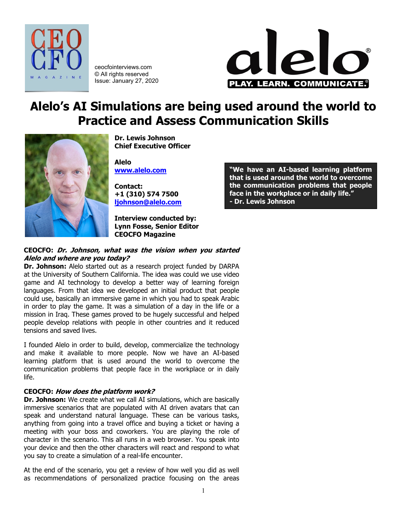

ceocfointerviews.com © All rights reserved Issue: January 27, 2020



# **Alelo's AI Simulations are being used around the world to Practice and Assess Communication Skills**



**Dr. Lewis Johnson Chief Executive Officer**

**Alelo [www.alelo.com](http://www.alelo.com/)**

**Contact: +1 (310) 574 7500 [ljohnson@alelo.com](mailto:ljohnson@alelo.com)**

**Interview conducted by: Lynn Fosse, Senior Editor CEOCFO Magazine**

#### **CEOCFO: Dr. Johnson, what was the vision when you started Alelo and where are you today?**

**Dr. Johnson:** Alelo started out as a research project funded by DARPA at the University of Southern California. The idea was could we use video game and AI technology to develop a better way of learning foreign languages. From that idea we developed an initial product that people could use, basically an immersive game in which you had to speak Arabic in order to play the game. It was a simulation of a day in the life or a mission in Iraq. These games proved to be hugely successful and helped people develop relations with people in other countries and it reduced tensions and saved lives.

I founded Alelo in order to build, develop, commercialize the technology and make it available to more people. Now we have an AI-based learning platform that is used around the world to overcome the communication problems that people face in the workplace or in daily life.

## **CEOCFO: How does the platform work?**

**Dr. Johnson:** We create what we call AI simulations, which are basically immersive scenarios that are populated with AI driven avatars that can speak and understand natural language. These can be various tasks, anything from going into a travel office and buying a ticket or having a meeting with your boss and coworkers. You are playing the role of character in the scenario. This all runs in a web browser. You speak into your device and then the other characters will react and respond to what you say to create a simulation of a real-life encounter.

At the end of the scenario, you get a review of how well you did as well as recommendations of personalized practice focusing on the areas

**"We have an AI-based learning platform that is used around the world to overcome the communication problems that people face in the workplace or in daily life." - Dr. Lewis Johnson**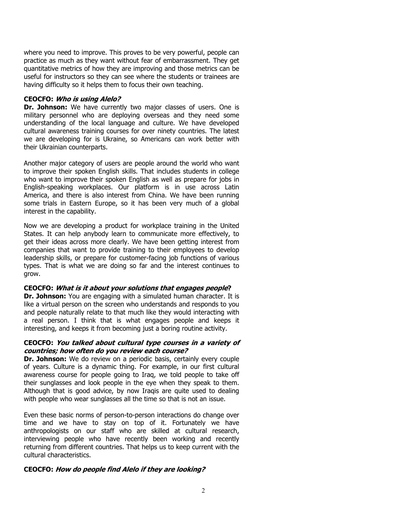where you need to improve. This proves to be very powerful, people can practice as much as they want without fear of embarrassment. They get quantitative metrics of how they are improving and those metrics can be useful for instructors so they can see where the students or trainees are having difficulty so it helps them to focus their own teaching.

#### **CEOCFO: Who is using Alelo?**

**Dr. Johnson:** We have currently two major classes of users. One is military personnel who are deploying overseas and they need some understanding of the local language and culture. We have developed cultural awareness training courses for over ninety countries. The latest we are developing for is Ukraine, so Americans can work better with their Ukrainian counterparts.

Another major category of users are people around the world who want to improve their spoken English skills. That includes students in college who want to improve their spoken English as well as prepare for jobs in English-speaking workplaces. Our platform is in use across Latin America, and there is also interest from China. We have been running some trials in Eastern Europe, so it has been very much of a global interest in the capability.

Now we are developing a product for workplace training in the United States. It can help anybody learn to communicate more effectively, to get their ideas across more clearly. We have been getting interest from companies that want to provide training to their employees to develop leadership skills, or prepare for customer-facing job functions of various types. That is what we are doing so far and the interest continues to grow.

#### **CEOCFO: What is it about your solutions that engages people?**

**Dr. Johnson:** You are engaging with a simulated human character. It is like a virtual person on the screen who understands and responds to you and people naturally relate to that much like they would interacting with a real person. I think that is what engages people and keeps it interesting, and keeps it from becoming just a boring routine activity.

#### **CEOCFO: You talked about cultural type courses in a variety of countries; how often do you review each course?**

**Dr. Johnson:** We do review on a periodic basis, certainly every couple of years. Culture is a dynamic thing. For example, in our first cultural awareness course for people going to Iraq, we told people to take off their sunglasses and look people in the eye when they speak to them. Although that is good advice, by now Iraqis are quite used to dealing with people who wear sunglasses all the time so that is not an issue.

Even these basic norms of person-to-person interactions do change over time and we have to stay on top of it. Fortunately we have anthropologists on our staff who are skilled at cultural research, interviewing people who have recently been working and recently returning from different countries. That helps us to keep current with the cultural characteristics.

## **CEOCFO: How do people find Alelo if they are looking?**